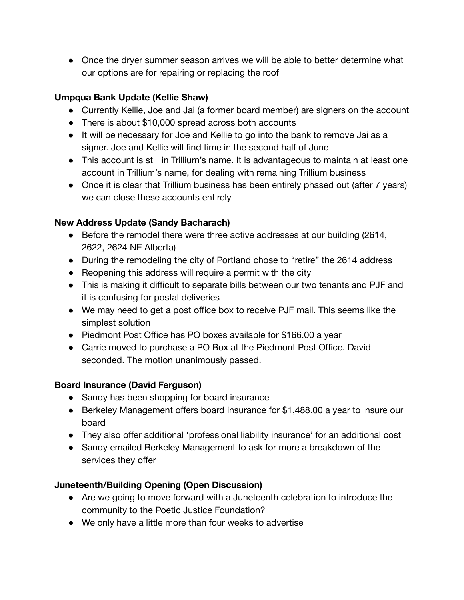• Once the dryer summer season arrives we will be able to better determine what our options are for repairing or replacing the roof

## **Umpqua Bank Update (Kellie Shaw)**

- Currently Kellie, Joe and Jai (a former board member) are signers on the account
- There is about \$10,000 spread across both accounts
- It will be necessary for Joe and Kellie to go into the bank to remove Jai as a signer. Joe and Kellie will find time in the second half of June
- This account is still in Trillium's name. It is advantageous to maintain at least one account in Trillium's name, for dealing with remaining Trillium business
- Once it is clear that Trillium business has been entirely phased out (after 7 years) we can close these accounts entirely

# **New Address Update (Sandy Bacharach)**

- **●** Before the remodel there were three active addresses at our building (2614, 2622, 2624 NE Alberta)
- During the remodeling the city of Portland chose to "retire" the 2614 address
- Reopening this address will require a permit with the city
- This is making it difficult to separate bills between our two tenants and PJF and it is confusing for postal deliveries
- We may need to get a post office box to receive PJF mail. This seems like the simplest solution
- Piedmont Post Office has PO boxes available for \$166.00 a year
- Carrie moved to purchase a PO Box at the Piedmont Post Office. David seconded. The motion unanimously passed.

# **Board Insurance (David Ferguson)**

- Sandy has been shopping for board insurance
- Berkeley Management offers board insurance for \$1,488.00 a year to insure our board
- They also offer additional 'professional liability insurance' for an additional cost
- Sandy emailed Berkeley Management to ask for more a breakdown of the services they offer

# **Juneteenth/Building Opening (Open Discussion)**

- Are we going to move forward with a Juneteenth celebration to introduce the community to the Poetic Justice Foundation?
- We only have a little more than four weeks to advertise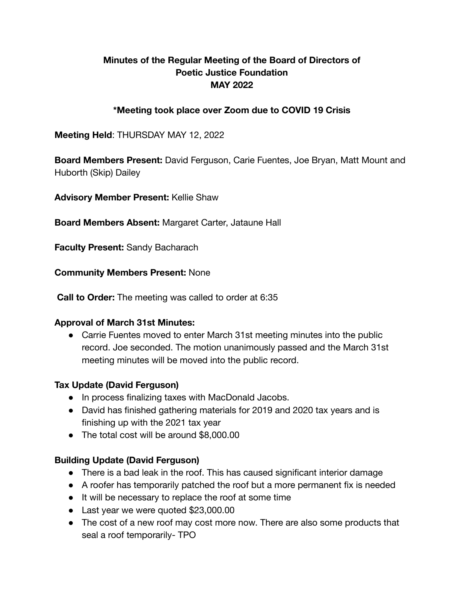### **Minutes of the Regular Meeting of the Board of Directors of Poetic Justice Foundation MAY 2022**

### **\*Meeting took place over Zoom due to COVID 19 Crisis**

### **Meeting Held**: THURSDAY MAY 12, 2022

**Board Members Present:** David Ferguson, Carie Fuentes, Joe Bryan, Matt Mount and Huborth (Skip) Dailey

**Advisory Member Present:** Kellie Shaw

### **Board Members Absent:** Margaret Carter, Jataune Hall

**Faculty Present:** Sandy Bacharach

#### **Community Members Present:** None

**Call to Order:** The meeting was called to order at 6:35

#### **Approval of March 31st Minutes:**

• Carrie Fuentes moved to enter March 31st meeting minutes into the public record. Joe seconded. The motion unanimously passed and the March 31st meeting minutes will be moved into the public record.

### **Tax Update (David Ferguson)**

- In process finalizing taxes with MacDonald Jacobs.
- David has finished gathering materials for 2019 and 2020 tax years and is finishing up with the 2021 tax year
- The total cost will be around \$8,000,00

### **Building Update (David Ferguson)**

- There is a bad leak in the roof. This has caused significant interior damage
- A roofer has temporarily patched the roof but a more permanent fix is needed
- It will be necessary to replace the roof at some time
- Last year we were quoted \$23,000.00
- The cost of a new roof may cost more now. There are also some products that seal a roof temporarily- TPO